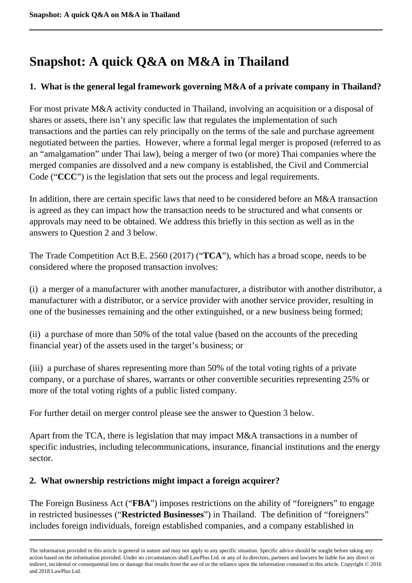# **Snapshot: A quick Q&A on M&A in Thailand**

## **1. What is the general legal framework governing M&A of a private company in Thailand?**

For most private M&A activity conducted in Thailand, involving an acquisition or a disposal of shares or assets, there isn't any specific law that regulates the implementation of such transactions and the parties can rely principally on the terms of the sale and purchase agreement negotiated between the parties. However, where a formal legal merger is proposed (referred to as an "amalgamation" under Thai law), being a merger of two (or more) Thai companies where the merged companies are dissolved and a new company is established, the Civil and Commercial Code ("**CCC**") is the legislation that sets out the process and legal requirements.

In addition, there are certain specific laws that need to be considered before an M&A transaction is agreed as they can impact how the transaction needs to be structured and what consents or approvals may need to be obtained. We address this briefly in this section as well as in the answers to Question 2 and 3 below.

The Trade Competition Act B.E. 2560 (2017) ("**TCA**"), which has a broad scope, needs to be considered where the proposed transaction involves:

(i) a merger of a manufacturer with another manufacturer, a distributor with another distributor, a manufacturer with a distributor, or a service provider with another service provider, resulting in one of the businesses remaining and the other extinguished, or a new business being formed;

(ii) a purchase of more than 50% of the total value (based on the accounts of the preceding financial year) of the assets used in the target's business; or

(iii) a purchase of shares representing more than 50% of the total voting rights of a private company, or a purchase of shares, warrants or other convertible securities representing 25% or more of the total voting rights of a public listed company.

For further detail on merger control please see the answer to Question 3 below.

Apart from the TCA, there is legislation that may impact M&A transactions in a number of specific industries, including telecommunications, insurance, financial institutions and the energy sector.

## **2. What ownership restrictions might impact a foreign acquirer?**

The Foreign Business Act ("**FBA**") imposes restrictions on the ability of "foreigners" to engage in restricted businesses ("**Restricted Businesses**") in Thailand. The definition of "foreigners" includes foreign individuals, foreign established companies, and a company established in

The information provided in this article is general in nature and may not apply to any specific situation. Specific advice should be sought before taking any action based on the information provided. Under no circumstances shall LawPlus Ltd. or any of its directors, partners and lawyers be liable for any direct or indirect, incidental or consequential loss or damage that results from the use of or the reliance upon the information contained in this article. Copyright © 2016 and 2018 LawPlus Ltd.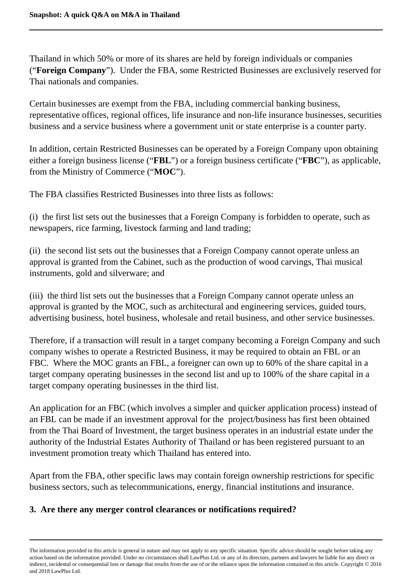Thailand in which 50% or more of its shares are held by foreign individuals or companies ("**Foreign Company**"). Under the FBA, some Restricted Businesses are exclusively reserved for Thai nationals and companies.

Certain businesses are exempt from the FBA, including commercial banking business, representative offices, regional offices, life insurance and non-life insurance businesses, securities business and a service business where a government unit or state enterprise is a counter party.

In addition, certain Restricted Businesses can be operated by a Foreign Company upon obtaining either a foreign business license ("**FBL**") or a foreign business certificate ("**FBC**"), as applicable, from the Ministry of Commerce ("**MOC**").

The FBA classifies Restricted Businesses into three lists as follows:

(i) the first list sets out the businesses that a Foreign Company is forbidden to operate, such as newspapers, rice farming, livestock farming and land trading;

(ii) the second list sets out the businesses that a Foreign Company cannot operate unless an approval is granted from the Cabinet, such as the production of wood carvings, Thai musical instruments, gold and silverware; and

(iii) the third list sets out the businesses that a Foreign Company cannot operate unless an approval is granted by the MOC, such as architectural and engineering services, guided tours, advertising business, hotel business, wholesale and retail business, and other service businesses.

Therefore, if a transaction will result in a target company becoming a Foreign Company and such company wishes to operate a Restricted Business, it may be required to obtain an FBL or an FBC. Where the MOC grants an FBL, a foreigner can own up to 60% of the share capital in a target company operating businesses in the second list and up to 100% of the share capital in a target company operating businesses in the third list.

An application for an FBC (which involves a simpler and quicker application process) instead of an FBL can be made if an investment approval for the project/business has first been obtained from the Thai Board of Investment, the target business operates in an industrial estate under the authority of the Industrial Estates Authority of Thailand or has been registered pursuant to an investment promotion treaty which Thailand has entered into.

Apart from the FBA, other specific laws may contain foreign ownership restrictions for specific business sectors, such as telecommunications, energy, financial institutions and insurance.

## **3. Are there any merger control clearances or notifications required?**

The information provided in this article is general in nature and may not apply to any specific situation. Specific advice should be sought before taking any action based on the information provided. Under no circumstances shall LawPlus Ltd. or any of its directors, partners and lawyers be liable for any direct or indirect, incidental or consequential loss or damage that results from the use of or the reliance upon the information contained in this article. Copyright © 2016 and 2018 LawPlus Ltd.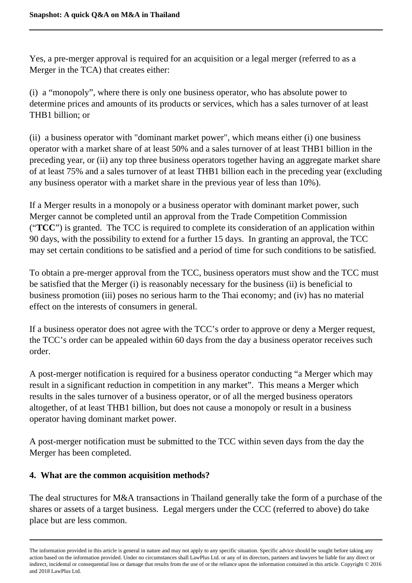Yes, a pre-merger approval is required for an acquisition or a legal merger (referred to as a Merger in the TCA) that creates either:

(i) a "monopoly", where there is only one business operator, who has absolute power to determine prices and amounts of its products or services, which has a sales turnover of at least THB1 billion; or

(ii) a business operator with "dominant market power", which means either (i) one business operator with a market share of at least 50% and a sales turnover of at least THB1 billion in the preceding year, or (ii) any top three business operators together having an aggregate market share of at least 75% and a sales turnover of at least THB1 billion each in the preceding year (excluding any business operator with a market share in the previous year of less than 10%).

If a Merger results in a monopoly or a business operator with dominant market power, such Merger cannot be completed until an approval from the Trade Competition Commission ("**TCC**") is granted. The TCC is required to complete its consideration of an application within 90 days, with the possibility to extend for a further 15 days. In granting an approval, the TCC may set certain conditions to be satisfied and a period of time for such conditions to be satisfied.

To obtain a pre-merger approval from the TCC, business operators must show and the TCC must be satisfied that the Merger (i) is reasonably necessary for the business (ii) is beneficial to business promotion (iii) poses no serious harm to the Thai economy; and (iv) has no material effect on the interests of consumers in general.

If a business operator does not agree with the TCC's order to approve or deny a Merger request, the TCC's order can be appealed within 60 days from the day a business operator receives such order.

A post-merger notification is required for a business operator conducting "a Merger which may result in a significant reduction in competition in any market". This means a Merger which results in the sales turnover of a business operator, or of all the merged business operators altogether, of at least THB1 billion, but does not cause a monopoly or result in a business operator having dominant market power.

A post-merger notification must be submitted to the TCC within seven days from the day the Merger has been completed.

## **4. What are the common acquisition methods?**

The deal structures for M&A transactions in Thailand generally take the form of a purchase of the shares or assets of a target business. Legal mergers under the CCC (referred to above) do take place but are less common.

The information provided in this article is general in nature and may not apply to any specific situation. Specific advice should be sought before taking any action based on the information provided. Under no circumstances shall LawPlus Ltd. or any of its directors, partners and lawyers be liable for any direct or indirect, incidental or consequential loss or damage that results from the use of or the reliance upon the information contained in this article. Copyright © 2016 and 2018 LawPlus Ltd.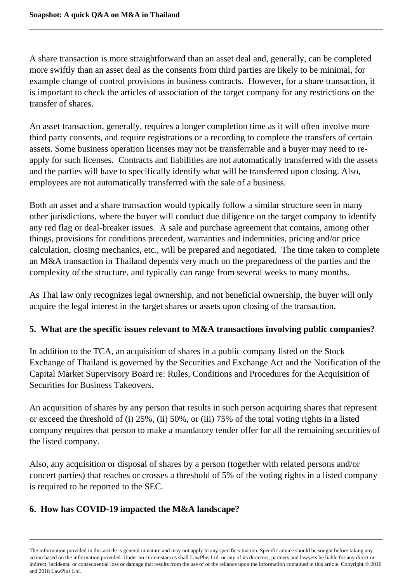A share transaction is more straightforward than an asset deal and, generally, can be completed more swiftly than an asset deal as the consents from third parties are likely to be minimal, for example change of control provisions in business contracts. However, for a share transaction, it is important to check the articles of association of the target company for any restrictions on the transfer of shares.

An asset transaction, generally, requires a longer completion time as it will often involve more third party consents, and require registrations or a recording to complete the transfers of certain assets. Some business operation licenses may not be transferrable and a buyer may need to reapply for such licenses. Contracts and liabilities are not automatically transferred with the assets and the parties will have to specifically identify what will be transferred upon closing. Also, employees are not automatically transferred with the sale of a business.

Both an asset and a share transaction would typically follow a similar structure seen in many other jurisdictions, where the buyer will conduct due diligence on the target company to identify any red flag or deal-breaker issues. A sale and purchase agreement that contains, among other things, provisions for conditions precedent, warranties and indemnities, pricing and/or price calculation, closing mechanics, etc., will be prepared and negotiated. The time taken to complete an M&A transaction in Thailand depends very much on the preparedness of the parties and the complexity of the structure, and typically can range from several weeks to many months.

As Thai law only recognizes legal ownership, and not beneficial ownership, the buyer will only acquire the legal interest in the target shares or assets upon closing of the transaction.

## **5. What are the specific issues relevant to M&A transactions involving public companies?**

In addition to the TCA, an acquisition of shares in a public company listed on the Stock Exchange of Thailand is governed by the Securities and Exchange Act and the Notification of the Capital Market Supervisory Board re: Rules, Conditions and Procedures for the Acquisition of Securities for Business Takeovers.

An acquisition of shares by any person that results in such person acquiring shares that represent or exceed the threshold of (i) 25%, (ii) 50%, or (iii) 75% of the total voting rights in a listed company requires that person to make a mandatory tender offer for all the remaining securities of the listed company.

Also, any acquisition or disposal of shares by a person (together with related persons and/or concert parties) that reaches or crosses a threshold of 5% of the voting rights in a listed company is required to be reported to the SEC.

## **6. How has COVID-19 impacted the M&A landscape?**

The information provided in this article is general in nature and may not apply to any specific situation. Specific advice should be sought before taking any action based on the information provided. Under no circumstances shall LawPlus Ltd. or any of its directors, partners and lawyers be liable for any direct or indirect, incidental or consequential loss or damage that results from the use of or the reliance upon the information contained in this article. Copyright © 2016 and 2018 LawPlus Ltd.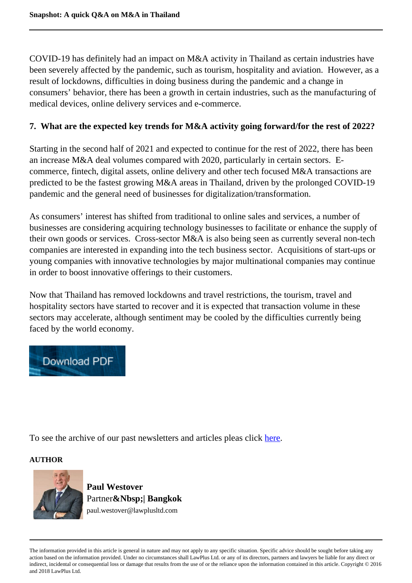COVID-19 has definitely had an impact on M&A activity in Thailand as certain industries have been severely affected by the pandemic, such as tourism, hospitality and aviation. However, as a result of lockdowns, difficulties in doing business during the pandemic and a change in consumers' behavior, there has been a growth in certain industries, such as the manufacturing of medical devices, online delivery services and e-commerce.

#### **7. What are the expected key trends for M&A activity going forward/for the rest of 2022?**

Starting in the second half of 2021 and expected to continue for the rest of 2022, there has been an increase M&A deal volumes compared with 2020, particularly in certain sectors. Ecommerce, fintech, digital assets, online delivery and other tech focused M&A transactions are predicted to be the fastest growing M&A areas in Thailand, driven by the prolonged COVID-19 pandemic and the general need of businesses for digitalization/transformation.

As consumers' interest has shifted from traditional to online sales and services, a number of businesses are considering acquiring technology businesses to facilitate or enhance the supply of their own goods or services. Cross-sector M&A is also being seen as currently several non-tech companies are interested in expanding into the tech business sector. Acquisitions of start-ups or young companies with innovative technologies by major multinational companies may continue in order to boost innovative offerings to their customers.

Now that Thailand has removed lockdowns and travel restrictions, the tourism, travel and hospitality sectors have started to recover and it is expected that transaction volume in these sectors may accelerate, although sentiment may be cooled by the difficulties currently being faced by the world economy.



To see the archive of our past newsletters and articles pleas click here.

#### **AUTHOR**



**Paul Westover** Partner**&Nbsp;| Bangkok** paul.westover@lawplusltd.com

The information provided in this article is general in nature and may not apply to any specific situation. Specific advice should be sought before taking any action based on the information provided. Under no circumstances shall LawPlus Ltd. or any of its directors, partners and lawyers be liable for any direct or indirect, incidental or consequential loss or damage that results from the use of or the reliance upon the information contained in this article. Copyright © 2016 and 2018 LawPlus Ltd.